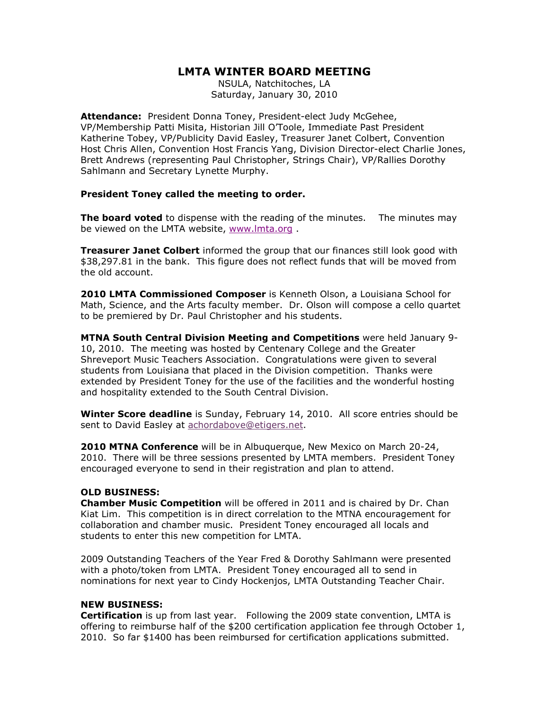## LMTA WINTER BOARD MEETING

NSULA, Natchitoches, LA Saturday, January 30, 2010

Attendance: President Donna Toney, President-elect Judy McGehee, VP/Membership Patti Misita, Historian Jill O'Toole, Immediate Past President Katherine Tobey, VP/Publicity David Easley, Treasurer Janet Colbert, Convention Host Chris Allen, Convention Host Francis Yang, Division Director-elect Charlie Jones, Brett Andrews (representing Paul Christopher, Strings Chair), VP/Rallies Dorothy Sahlmann and Secretary Lynette Murphy.

## President Toney called the meeting to order.

The board voted to dispense with the reading of the minutes. The minutes may be viewed on the LMTA website, www.lmta.org .

**Treasurer Janet Colbert** informed the group that our finances still look good with \$38,297.81 in the bank. This figure does not reflect funds that will be moved from the old account.

2010 LMTA Commissioned Composer is Kenneth Olson, a Louisiana School for Math, Science, and the Arts faculty member. Dr. Olson will compose a cello quartet to be premiered by Dr. Paul Christopher and his students.

MTNA South Central Division Meeting and Competitions were held January 9- 10, 2010. The meeting was hosted by Centenary College and the Greater Shreveport Music Teachers Association. Congratulations were given to several students from Louisiana that placed in the Division competition. Thanks were extended by President Toney for the use of the facilities and the wonderful hosting and hospitality extended to the South Central Division.

Winter Score deadline is Sunday, February 14, 2010. All score entries should be sent to David Easley at achordabove@etigers.net.

2010 MTNA Conference will be in Albuquerque, New Mexico on March 20-24, 2010. There will be three sessions presented by LMTA members. President Toney encouraged everyone to send in their registration and plan to attend.

## OLD BUSINESS:

Chamber Music Competition will be offered in 2011 and is chaired by Dr. Chan Kiat Lim. This competition is in direct correlation to the MTNA encouragement for collaboration and chamber music. President Toney encouraged all locals and students to enter this new competition for LMTA.

2009 Outstanding Teachers of the Year Fred & Dorothy Sahlmann were presented with a photo/token from LMTA. President Toney encouraged all to send in nominations for next year to Cindy Hockenjos, LMTA Outstanding Teacher Chair.

## NEW BUSINESS:

**Certification** is up from last year. Following the 2009 state convention, LMTA is offering to reimburse half of the \$200 certification application fee through October 1, 2010. So far \$1400 has been reimbursed for certification applications submitted.